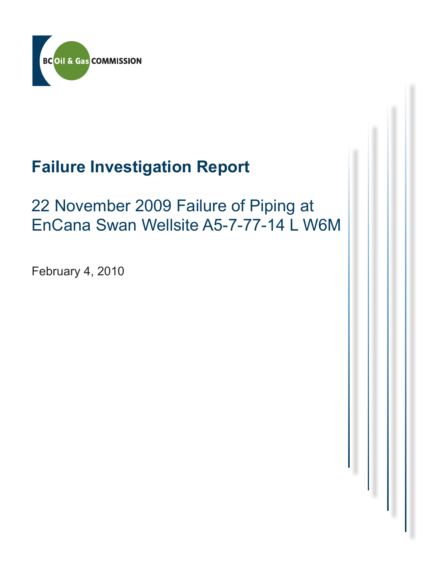

# **Failure Investigation Report**

### 22 November 2009 Failure of Piping at EnCana Swan Wellsite A5-7-77-14 L W6M

February 4, 2010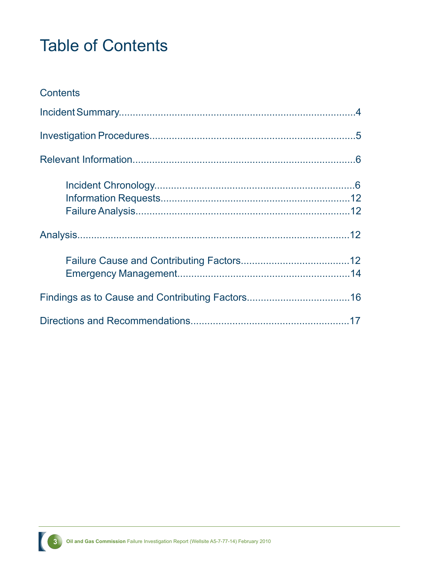## Table of Contents

| <b>Contents</b> |  |
|-----------------|--|
|                 |  |
|                 |  |
|                 |  |
|                 |  |
|                 |  |
|                 |  |
|                 |  |
|                 |  |

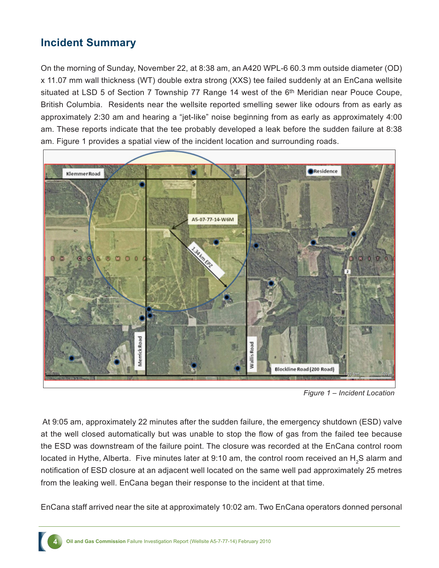#### **Incident Summary**

On the morning of Sunday, November 22, at 8:38 am, an A420 WPL-6 60.3 mm outside diameter (OD) x 11.07 mm wall thickness (WT) double extra strong (XXS) tee failed suddenly at an EnCana wellsite situated at LSD 5 of Section 7 Township 77 Range 14 west of the 6<sup>th</sup> Meridian near Pouce Coupe, British Columbia. Residents near the wellsite reported smelling sewer like odours from as early as approximately 2:30 am and hearing a "jet-like" noise beginning from as early as approximately 4:00 am. These reports indicate that the tee probably developed a leak before the sudden failure at 8:38 am. Figure 1 provides a spatial view of the incident location and surrounding roads.



*Figure 1 – Incident Location*

 At 9:05 am, approximately 22 minutes after the sudden failure, the emergency shutdown (ESD) valve at the well closed automatically but was unable to stop the flow of gas from the failed tee because the ESD was downstream of the failure point. The closure was recorded at the EnCana control room located in Hythe, Alberta. Five minutes later at 9:10 am, the control room received an  $\mathsf{H}_{_2}\mathsf{S}$  alarm and notification of ESD closure at an adjacent well located on the same well pad approximately 25 metres from the leaking well. EnCana began their response to the incident at that time.

EnCana staff arrived near the site at approximately 10:02 am. Two EnCana operators donned personal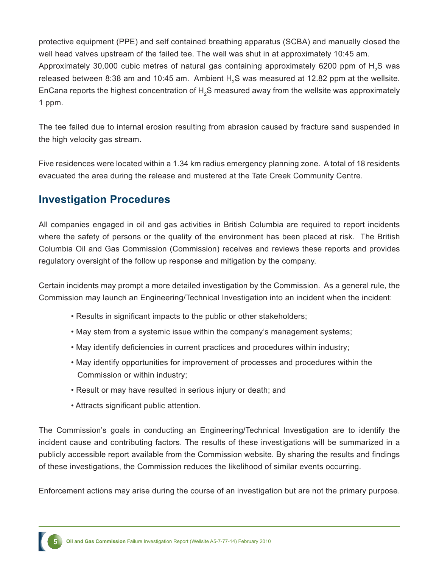protective equipment (PPE) and self contained breathing apparatus (SCBA) and manually closed the well head valves upstream of the failed tee. The well was shut in at approximately 10:45 am. Approximately 30,000 cubic metres of natural gas containing approximately 6200 ppm of  $H_{2}$ S was released between 8:38 am and 10:45 am. Ambient  $\text{H}_{\text{2}}\text{S}$  was measured at 12.82 ppm at the wellsite. EnCana reports the highest concentration of  $\mathsf{H}_2\mathsf{S}$  measured away from the wellsite was approximately 1 ppm.

The tee failed due to internal erosion resulting from abrasion caused by fracture sand suspended in the high velocity gas stream.

Five residences were located within a 1.34 km radius emergency planning zone. A total of 18 residents evacuated the area during the release and mustered at the Tate Creek Community Centre.

#### **Investigation Procedures**

All companies engaged in oil and gas activities in British Columbia are required to report incidents where the safety of persons or the quality of the environment has been placed at risk. The British Columbia Oil and Gas Commission (Commission) receives and reviews these reports and provides regulatory oversight of the follow up response and mitigation by the company.

Certain incidents may prompt a more detailed investigation by the Commission. As a general rule, the Commission may launch an Engineering/Technical Investigation into an incident when the incident:

- Results in significant impacts to the public or other stakeholders;
- May stem from a systemic issue within the company's management systems;
- May identify deficiencies in current practices and procedures within industry;
- May identify opportunities for improvement of processes and procedures within the Commission or within industry;
- Result or may have resulted in serious injury or death; and
- Attracts significant public attention.

The Commission's goals in conducting an Engineering/Technical Investigation are to identify the incident cause and contributing factors. The results of these investigations will be summarized in a publicly accessible report available from the Commission website. By sharing the results and findings of these investigations, the Commission reduces the likelihood of similar events occurring.

Enforcement actions may arise during the course of an investigation but are not the primary purpose.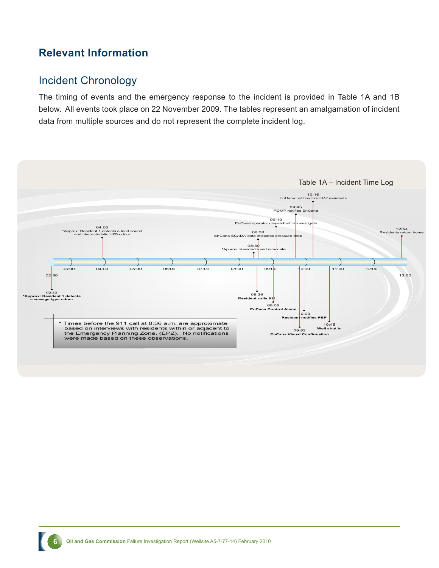#### **Relevant Information**

#### Incident Chronology

The timing of events and the emergency response to the incident is provided in Table 1A and 1B below. All events took place on 22 November 2009. The tables represent an amalgamation of incident data from multiple sources and do not represent the complete incident log.

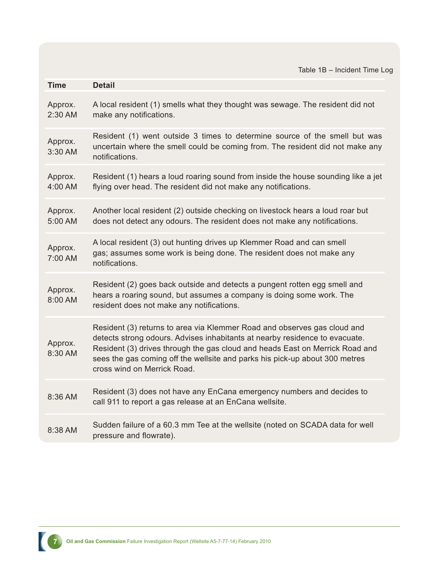Table 1B – Incident Time Log

| Time                 | <b>Detail</b>                                                                                                                                                                                                                                                                                                                                         |
|----------------------|-------------------------------------------------------------------------------------------------------------------------------------------------------------------------------------------------------------------------------------------------------------------------------------------------------------------------------------------------------|
| Approx.<br>$2:30$ AM | A local resident (1) smells what they thought was sewage. The resident did not<br>make any notifications.                                                                                                                                                                                                                                             |
| Approx.<br>3:30 AM   | Resident (1) went outside 3 times to determine source of the smell but was<br>uncertain where the smell could be coming from. The resident did not make any<br>notifications.                                                                                                                                                                         |
| Approx.<br>4:00 AM   | Resident (1) hears a loud roaring sound from inside the house sounding like a jet<br>flying over head. The resident did not make any notifications.                                                                                                                                                                                                   |
| Approx.<br>5:00 AM   | Another local resident (2) outside checking on livestock hears a loud roar but<br>does not detect any odours. The resident does not make any notifications.                                                                                                                                                                                           |
| Approx.<br>7:00 AM   | A local resident (3) out hunting drives up Klemmer Road and can smell<br>gas; assumes some work is being done. The resident does not make any<br>notifications.                                                                                                                                                                                       |
| Approx.<br>8:00 AM   | Resident (2) goes back outside and detects a pungent rotten egg smell and<br>hears a roaring sound, but assumes a company is doing some work. The<br>resident does not make any notifications.                                                                                                                                                        |
| Approx.<br>8:30 AM   | Resident (3) returns to area via Klemmer Road and observes gas cloud and<br>detects strong odours. Advises inhabitants at nearby residence to evacuate.<br>Resident (3) drives through the gas cloud and heads East on Merrick Road and<br>sees the gas coming off the wellsite and parks his pick-up about 300 metres<br>cross wind on Merrick Road. |
| 8:36 AM              | Resident (3) does not have any EnCana emergency numbers and decides to<br>call 911 to report a gas release at an EnCana wellsite.                                                                                                                                                                                                                     |
| 8:38 AM              | Sudden failure of a 60.3 mm Tee at the wellsite (noted on SCADA data for well<br>pressure and flowrate).                                                                                                                                                                                                                                              |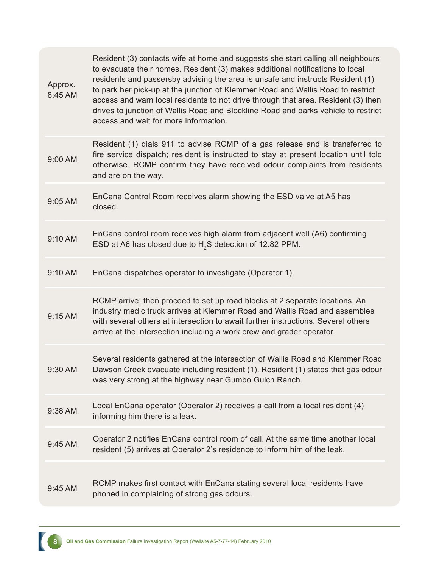| Approx.<br>8:45 AM | Resident (3) contacts wife at home and suggests she start calling all neighbours<br>to evacuate their homes. Resident (3) makes additional notifications to local<br>residents and passersby advising the area is unsafe and instructs Resident (1)<br>to park her pick-up at the junction of Klemmer Road and Wallis Road to restrict<br>access and warn local residents to not drive through that area. Resident (3) then<br>drives to junction of Wallis Road and Blockline Road and parks vehicle to restrict<br>access and wait for more information. |
|--------------------|------------------------------------------------------------------------------------------------------------------------------------------------------------------------------------------------------------------------------------------------------------------------------------------------------------------------------------------------------------------------------------------------------------------------------------------------------------------------------------------------------------------------------------------------------------|
| 9:00 AM            | Resident (1) dials 911 to advise RCMP of a gas release and is transferred to<br>fire service dispatch; resident is instructed to stay at present location until told<br>otherwise. RCMP confirm they have received odour complaints from residents<br>and are on the way.                                                                                                                                                                                                                                                                                  |
| 9:05 AM            | EnCana Control Room receives alarm showing the ESD valve at A5 has<br>closed.                                                                                                                                                                                                                                                                                                                                                                                                                                                                              |
| 9:10 AM            | EnCana control room receives high alarm from adjacent well (A6) confirming<br>ESD at A6 has closed due to H <sub>2</sub> S detection of 12.82 PPM.                                                                                                                                                                                                                                                                                                                                                                                                         |
| 9:10 AM            | EnCana dispatches operator to investigate (Operator 1).                                                                                                                                                                                                                                                                                                                                                                                                                                                                                                    |
| 9:15 AM            | RCMP arrive; then proceed to set up road blocks at 2 separate locations. An<br>industry medic truck arrives at Klemmer Road and Wallis Road and assembles<br>with several others at intersection to await further instructions. Several others<br>arrive at the intersection including a work crew and grader operator.                                                                                                                                                                                                                                    |
| 9:30 AM            | Several residents gathered at the intersection of Wallis Road and Klemmer Road<br>Dawson Creek evacuate including resident (1). Resident (1) states that gas odour<br>was very strong at the highway near Gumbo Gulch Ranch.                                                                                                                                                                                                                                                                                                                               |
| 9:38 AM            | Local EnCana operator (Operator 2) receives a call from a local resident (4)<br>informing him there is a leak.                                                                                                                                                                                                                                                                                                                                                                                                                                             |
| 9:45 AM            | Operator 2 notifies EnCana control room of call. At the same time another local<br>resident (5) arrives at Operator 2's residence to inform him of the leak.                                                                                                                                                                                                                                                                                                                                                                                               |
| 9:45 AM            | RCMP makes first contact with EnCana stating several local residents have<br>phoned in complaining of strong gas odours.                                                                                                                                                                                                                                                                                                                                                                                                                                   |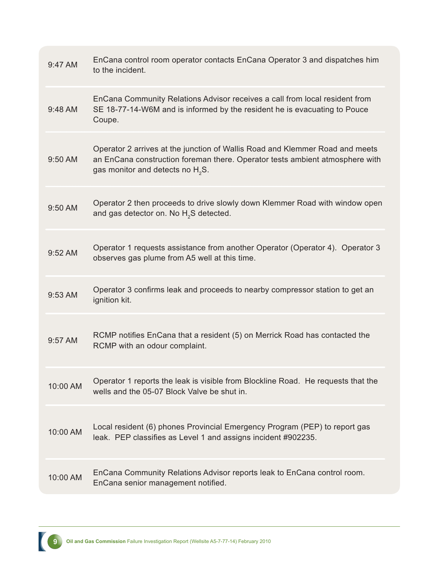| $9:47$ AM         | EnCana control room operator contacts EnCana Operator 3 and dispatches him<br>to the incident.                                                                                                      |
|-------------------|-----------------------------------------------------------------------------------------------------------------------------------------------------------------------------------------------------|
| $9:48 \text{ AM}$ | EnCana Community Relations Advisor receives a call from local resident from<br>SE 18-77-14-W6M and is informed by the resident he is evacuating to Pouce<br>Coupe.                                  |
| $9:50$ AM         | Operator 2 arrives at the junction of Wallis Road and Klemmer Road and meets<br>an EnCana construction foreman there. Operator tests ambient atmosphere with<br>gas monitor and detects no $H_2S$ . |
| $9:50$ AM         | Operator 2 then proceeds to drive slowly down Klemmer Road with window open<br>and gas detector on. No H <sub>2</sub> S detected.                                                                   |
| $9:52$ AM         | Operator 1 requests assistance from another Operator (Operator 4). Operator 3<br>observes gas plume from A5 well at this time.                                                                      |
| 9:53 AM           | Operator 3 confirms leak and proceeds to nearby compressor station to get an<br>ignition kit.                                                                                                       |
| $9:57$ AM         | RCMP notifies EnCana that a resident (5) on Merrick Road has contacted the<br>RCMP with an odour complaint.                                                                                         |
| 10:00 AM          | Operator 1 reports the leak is visible from Blockline Road. He requests that the<br>wells and the 05-07 Block Valve be shut in.                                                                     |
| 10:00 AM          | Local resident (6) phones Provincial Emergency Program (PEP) to report gas<br>leak. PEP classifies as Level 1 and assigns incident #902235.                                                         |
| 10:00 AM          | EnCana Community Relations Advisor reports leak to EnCana control room.<br>EnCana senior management notified.                                                                                       |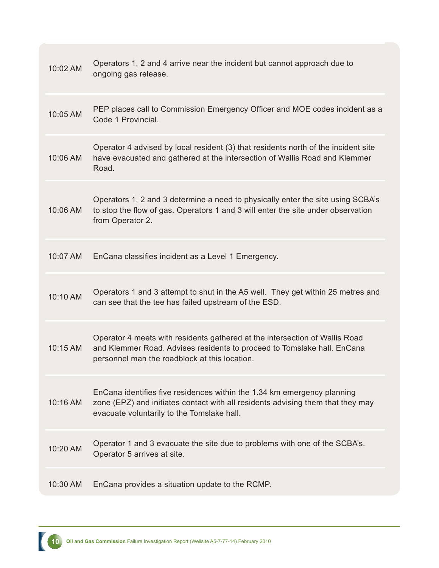| 10:02 AM | Operators 1, 2 and 4 arrive near the incident but cannot approach due to<br>ongoing gas release.                                                                                                         |
|----------|----------------------------------------------------------------------------------------------------------------------------------------------------------------------------------------------------------|
| 10:05 AM | PEP places call to Commission Emergency Officer and MOE codes incident as a<br>Code 1 Provincial.                                                                                                        |
| 10:06 AM | Operator 4 advised by local resident (3) that residents north of the incident site<br>have evacuated and gathered at the intersection of Wallis Road and Klemmer<br>Road.                                |
| 10:06 AM | Operators 1, 2 and 3 determine a need to physically enter the site using SCBA's<br>to stop the flow of gas. Operators 1 and 3 will enter the site under observation<br>from Operator 2.                  |
| 10:07 AM | EnCana classifies incident as a Level 1 Emergency.                                                                                                                                                       |
| 10:10 AM | Operators 1 and 3 attempt to shut in the A5 well. They get within 25 metres and<br>can see that the tee has failed upstream of the ESD.                                                                  |
| 10:15 AM | Operator 4 meets with residents gathered at the intersection of Wallis Road<br>and Klemmer Road. Advises residents to proceed to Tomslake hall. EnCana<br>personnel man the roadblock at this location.  |
| 10:16 AM | EnCana identifies five residences within the 1.34 km emergency planning<br>zone (EPZ) and initiates contact with all residents advising them that they may<br>evacuate voluntarily to the Tomslake hall. |
| 10:20 AM | Operator 1 and 3 evacuate the site due to problems with one of the SCBA's.<br>Operator 5 arrives at site.                                                                                                |
| 10:30 AM | EnCana provides a situation update to the RCMP.                                                                                                                                                          |

**10** Oil and Gas Commission Failure Investigation Report (Wellsite A5-7-77-14) February 2010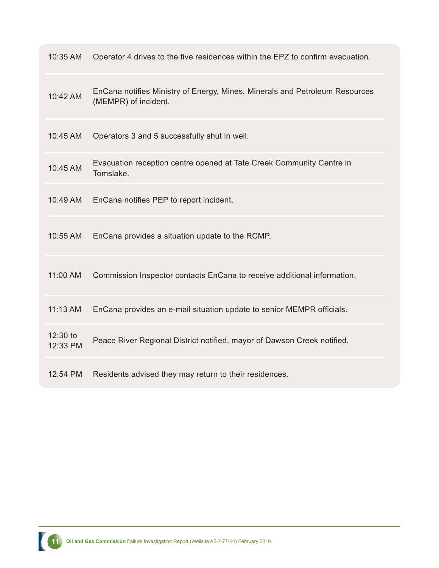| 10:35 AM             | Operator 4 drives to the five residences within the EPZ to confirm evacuation.                      |
|----------------------|-----------------------------------------------------------------------------------------------------|
| 10:42 AM             | EnCana notifies Ministry of Energy, Mines, Minerals and Petroleum Resources<br>(MEMPR) of incident. |
| 10:45 AM             | Operators 3 and 5 successfully shut in well.                                                        |
| 10:45 AM             | Evacuation reception centre opened at Tate Creek Community Centre in<br>Tomslake.                   |
| 10:49 AM             | EnCana notifies PEP to report incident.                                                             |
| 10:55 AM             | EnCana provides a situation update to the RCMP.                                                     |
| 11:00 AM             | Commission Inspector contacts EnCana to receive additional information.                             |
| 11:13 AM             | EnCana provides an e-mail situation update to senior MEMPR officials.                               |
| 12:30 to<br>12:33 PM | Peace River Regional District notified, mayor of Dawson Creek notified.                             |
| 12:54 PM             | Residents advised they may return to their residences.                                              |

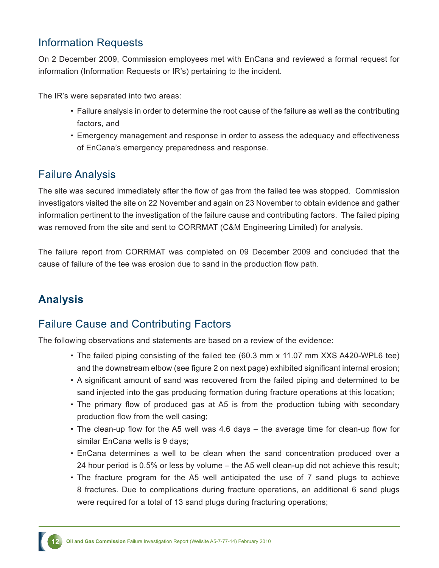#### Information Requests

On 2 December 2009, Commission employees met with EnCana and reviewed a formal request for information (Information Requests or IR's) pertaining to the incident.

The IR's were separated into two areas:

- Failure analysis in order to determine the root cause of the failure as well as the contributing factors, and
- Emergency management and response in order to assess the adequacy and effectiveness of EnCana's emergency preparedness and response.

#### Failure Analysis

The site was secured immediately after the flow of gas from the failed tee was stopped. Commission investigators visited the site on 22 November and again on 23 November to obtain evidence and gather information pertinent to the investigation of the failure cause and contributing factors. The failed piping was removed from the site and sent to CORRMAT (C&M Engineering Limited) for analysis.

The failure report from CORRMAT was completed on 09 December 2009 and concluded that the cause of failure of the tee was erosion due to sand in the production flow path.

### **Analysis**

#### Failure Cause and Contributing Factors

The following observations and statements are based on a review of the evidence:

- The failed piping consisting of the failed tee (60.3 mm x 11.07 mm XXS A420-WPL6 tee) and the downstream elbow (see figure 2 on next page) exhibited significant internal erosion;
- A significant amount of sand was recovered from the failed piping and determined to be sand injected into the gas producing formation during fracture operations at this location;
- The primary flow of produced gas at A5 is from the production tubing with secondary production flow from the well casing;
- The clean-up flow for the A5 well was 4.6 days the average time for clean-up flow for similar EnCana wells is 9 days;
- EnCana determines a well to be clean when the sand concentration produced over a 24 hour period is 0.5% or less by volume – the A5 well clean-up did not achieve this result;
- The fracture program for the A5 well anticipated the use of 7 sand plugs to achieve 8 fractures. Due to complications during fracture operations, an additional 6 sand plugs were required for a total of 13 sand plugs during fracturing operations;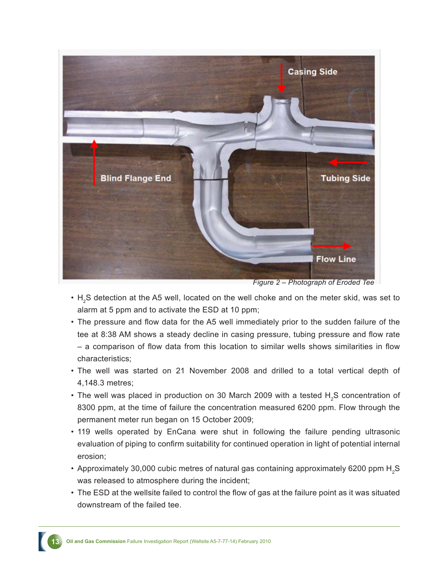

*Figure 2 – Photograph of Eroded Tee*

- $H_2$ S detection at the A5 well, located on the well choke and on the meter skid, was set to alarm at 5 ppm and to activate the ESD at 10 ppm;
- The pressure and flow data for the A5 well immediately prior to the sudden failure of the tee at 8:38 AM shows a steady decline in casing pressure, tubing pressure and flow rate – a comparison of flow data from this location to similar wells shows similarities in flow characteristics;
- The well was started on 21 November 2008 and drilled to a total vertical depth of 4,148.3 metres;
- The well was placed in production on 30 March 2009 with a tested  $H_2S$  concentration of 8300 ppm, at the time of failure the concentration measured 6200 ppm. Flow through the permanent meter run began on 15 October 2009;
- 119 wells operated by EnCana were shut in following the failure pending ultrasonic evaluation of piping to confirm suitability for continued operation in light of potential internal erosion;
- Approximately 30,000 cubic metres of natural gas containing approximately 6200 ppm  $\mathsf{H}_{_2}\mathsf{S}$ was released to atmosphere during the incident;
- The ESD at the wellsite failed to control the flow of gas at the failure point as it was situated downstream of the failed tee.

**13 Oil and Gas Commission** Failure Investigation Report (Wellsite A5-7-77-14) February 2010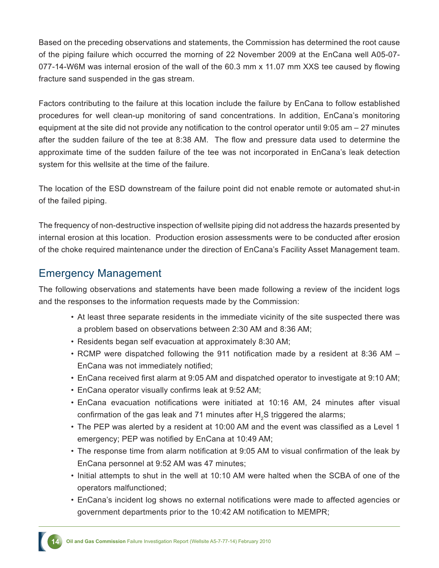Based on the preceding observations and statements, the Commission has determined the root cause of the piping failure which occurred the morning of 22 November 2009 at the EnCana well A05-07- 077-14-W6M was internal erosion of the wall of the 60.3 mm x 11.07 mm XXS tee caused by flowing fracture sand suspended in the gas stream.

Factors contributing to the failure at this location include the failure by EnCana to follow established procedures for well clean-up monitoring of sand concentrations. In addition, EnCana's monitoring equipment at the site did not provide any notification to the control operator until 9:05 am – 27 minutes after the sudden failure of the tee at 8:38 AM. The flow and pressure data used to determine the approximate time of the sudden failure of the tee was not incorporated in EnCana's leak detection system for this wellsite at the time of the failure.

The location of the ESD downstream of the failure point did not enable remote or automated shut-in of the failed piping.

The frequency of non-destructive inspection of wellsite piping did not address the hazards presented by internal erosion at this location. Production erosion assessments were to be conducted after erosion of the choke required maintenance under the direction of EnCana's Facility Asset Management team.

#### Emergency Management

The following observations and statements have been made following a review of the incident logs and the responses to the information requests made by the Commission:

- At least three separate residents in the immediate vicinity of the site suspected there was a problem based on observations between 2:30 AM and 8:36 AM;
- Residents began self evacuation at approximately 8:30 AM;
- RCMP were dispatched following the 911 notification made by a resident at 8:36 AM EnCana was not immediately notified;
- EnCana received first alarm at 9:05 AM and dispatched operator to investigate at 9:10 AM;
- EnCana operator visually confirms leak at 9:52 AM;
- EnCana evacuation notifications were initiated at 10:16 AM, 24 minutes after visual confirmation of the gas leak and 71 minutes after  ${\sf H}_{_2}$ S triggered the alarms;
- The PEP was alerted by a resident at 10:00 AM and the event was classified as a Level 1 emergency; PEP was notified by EnCana at 10:49 AM;
- The response time from alarm notification at 9:05 AM to visual confirmation of the leak by EnCana personnel at 9:52 AM was 47 minutes;
- Initial attempts to shut in the well at 10:10 AM were halted when the SCBA of one of the operators malfunctioned;
- EnCana's incident log shows no external notifications were made to affected agencies or government departments prior to the 10:42 AM notification to MEMPR;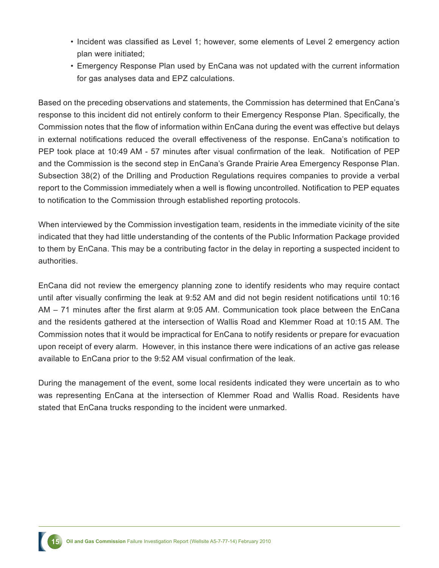- Incident was classified as Level 1; however, some elements of Level 2 emergency action plan were initiated;
- Emergency Response Plan used by EnCana was not updated with the current information for gas analyses data and EPZ calculations.

Based on the preceding observations and statements, the Commission has determined that EnCana's response to this incident did not entirely conform to their Emergency Response Plan. Specifically, the Commission notes that the flow of information within EnCana during the event was effective but delays in external notifications reduced the overall effectiveness of the response. EnCana's notification to PEP took place at 10:49 AM - 57 minutes after visual confirmation of the leak. Notification of PEP and the Commission is the second step in EnCana's Grande Prairie Area Emergency Response Plan. Subsection 38(2) of the Drilling and Production Regulations requires companies to provide a verbal report to the Commission immediately when a well is flowing uncontrolled. Notification to PEP equates to notification to the Commission through established reporting protocols.

When interviewed by the Commission investigation team, residents in the immediate vicinity of the site indicated that they had little understanding of the contents of the Public Information Package provided to them by EnCana. This may be a contributing factor in the delay in reporting a suspected incident to authorities.

EnCana did not review the emergency planning zone to identify residents who may require contact until after visually confirming the leak at 9:52 AM and did not begin resident notifications until 10:16 AM – 71 minutes after the first alarm at 9:05 AM. Communication took place between the EnCana and the residents gathered at the intersection of Wallis Road and Klemmer Road at 10:15 AM. The Commission notes that it would be impractical for EnCana to notify residents or prepare for evacuation upon receipt of every alarm. However, in this instance there were indications of an active gas release available to EnCana prior to the 9:52 AM visual confirmation of the leak.

During the management of the event, some local residents indicated they were uncertain as to who was representing EnCana at the intersection of Klemmer Road and Wallis Road. Residents have stated that EnCana trucks responding to the incident were unmarked.

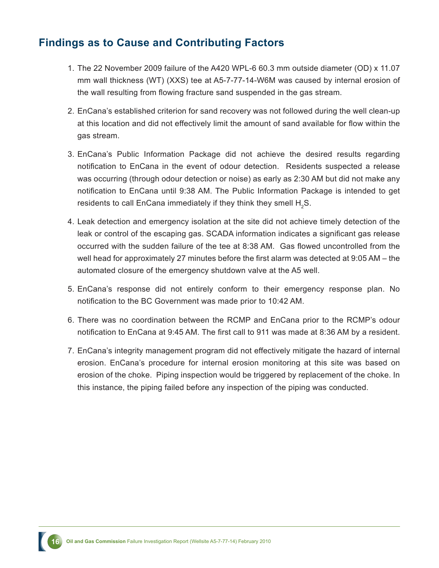#### **Findings as to Cause and Contributing Factors**

- 1. The 22 November 2009 failure of the A420 WPL-6 60.3 mm outside diameter (OD) x 11.07 mm wall thickness (WT) (XXS) tee at A5-7-77-14-W6M was caused by internal erosion of the wall resulting from flowing fracture sand suspended in the gas stream.
- 2. EnCana's established criterion for sand recovery was not followed during the well clean-up at this location and did not effectively limit the amount of sand available for flow within the gas stream.
- 3. EnCana's Public Information Package did not achieve the desired results regarding notification to EnCana in the event of odour detection. Residents suspected a release was occurring (through odour detection or noise) as early as 2:30 AM but did not make any notification to EnCana until 9:38 AM. The Public Information Package is intended to get residents to call EnCana immediately if they think they smell  $\mathsf{H}_{_2}\mathsf{S}.$
- 4. Leak detection and emergency isolation at the site did not achieve timely detection of the leak or control of the escaping gas. SCADA information indicates a significant gas release occurred with the sudden failure of the tee at 8:38 AM. Gas flowed uncontrolled from the well head for approximately 27 minutes before the first alarm was detected at 9:05 AM – the automated closure of the emergency shutdown valve at the A5 well.
- 5. EnCana's response did not entirely conform to their emergency response plan. No notification to the BC Government was made prior to 10:42 AM.
- 6. There was no coordination between the RCMP and EnCana prior to the RCMP's odour notification to EnCana at 9:45 AM. The first call to 911 was made at 8:36 AM by a resident.
- 7. EnCana's integrity management program did not effectively mitigate the hazard of internal erosion. EnCana's procedure for internal erosion monitoring at this site was based on erosion of the choke. Piping inspection would be triggered by replacement of the choke. In this instance, the piping failed before any inspection of the piping was conducted.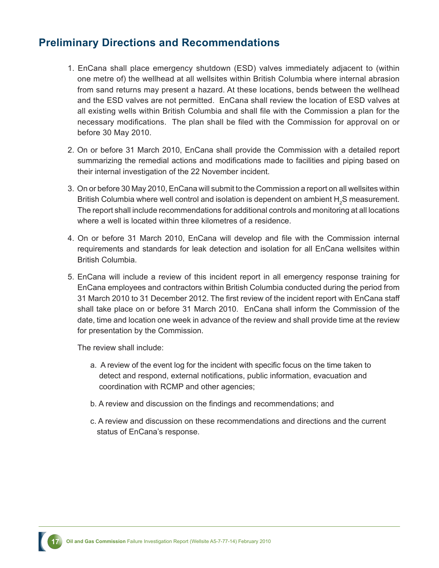#### **Preliminary Directions and Recommendations**

- 1. EnCana shall place emergency shutdown (ESD) valves immediately adjacent to (within one metre of) the wellhead at all wellsites within British Columbia where internal abrasion from sand returns may present a hazard. At these locations, bends between the wellhead and the ESD valves are not permitted. EnCana shall review the location of ESD valves at all existing wells within British Columbia and shall file with the Commission a plan for the necessary modifications. The plan shall be filed with the Commission for approval on or before 30 May 2010.
- 2. On or before 31 March 2010, EnCana shall provide the Commission with a detailed report summarizing the remedial actions and modifications made to facilities and piping based on their internal investigation of the 22 November incident.
- 3. On or before 30 May 2010, EnCana will submit to the Commission a report on all wellsites within British Columbia where well control and isolation is dependent on ambient  ${\sf H}_{_2}$ S measurement. The report shall include recommendations for additional controls and monitoring at all locations where a well is located within three kilometres of a residence.
- 4. On or before 31 March 2010, EnCana will develop and file with the Commission internal requirements and standards for leak detection and isolation for all EnCana wellsites within British Columbia.
- 5. EnCana will include a review of this incident report in all emergency response training for EnCana employees and contractors within British Columbia conducted during the period from 31 March 2010 to 31 December 2012. The first review of the incident report with EnCana staff shall take place on or before 31 March 2010. EnCana shall inform the Commission of the date, time and location one week in advance of the review and shall provide time at the review for presentation by the Commission.

The review shall include:

- a. A review of the event log for the incident with specific focus on the time taken to detect and respond, external notifications, public information, evacuation and coordination with RCMP and other agencies;
- b. A review and discussion on the findings and recommendations; and
- c. A review and discussion on these recommendations and directions and the current status of EnCana's response.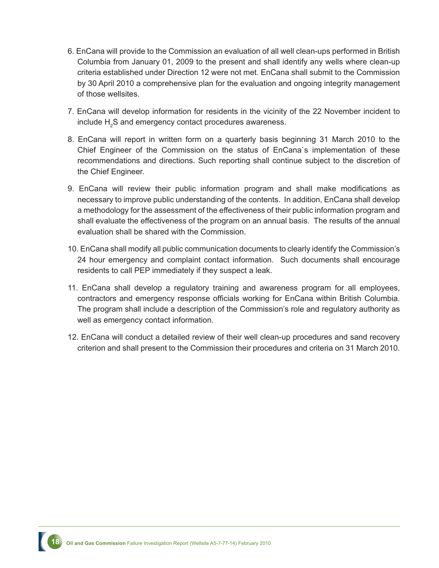- 6. EnCana will provide to the Commission an evaluation of all well clean-ups performed in British Columbia from January 01, 2009 to the present and shall identify any wells where clean-up criteria established under Direction 12 were not met. EnCana shall submit to the Commission by 30 April 2010 a comprehensive plan for the evaluation and ongoing integrity management of those wellsites.
- 7. EnCana will develop information for residents in the vicinity of the 22 November incident to include  $H_2$ S and emergency contact procedures awareness.
- 8. EnCana will report in written form on a quarterly basis beginning 31 March 2010 to the Chief Engineer of the Commission on the status of EnCana`s implementation of these recommendations and directions. Such reporting shall continue subject to the discretion of the Chief Engineer.
- 9. EnCana will review their public information program and shall make modifications as necessary to improve public understanding of the contents. In addition, EnCana shall develop a methodology for the assessment of the effectiveness of their public information program and shall evaluate the effectiveness of the program on an annual basis. The results of the annual evaluation shall be shared with the Commission.
- 10. EnCana shall modify all public communication documents to clearly identify the Commission's 24 hour emergency and complaint contact information. Such documents shall encourage residents to call PEP immediately if they suspect a leak.
- 11. EnCana shall develop a regulatory training and awareness program for all employees, contractors and emergency response officials working for EnCana within British Columbia. The program shall include a description of the Commission's role and regulatory authority as well as emergency contact information.
- 12. EnCana will conduct a detailed review of their well clean-up procedures and sand recovery criterion and shall present to the Commission their procedures and criteria on 31 March 2010.